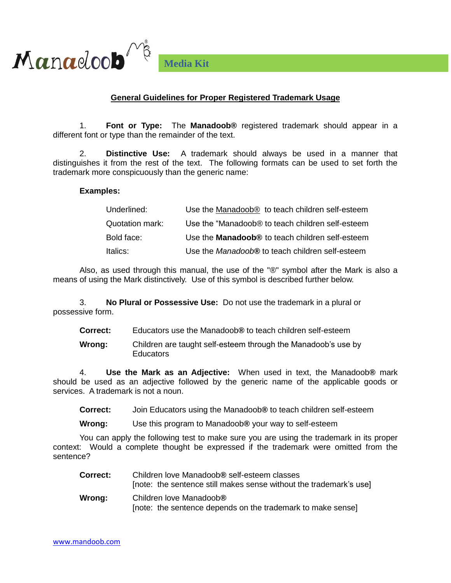

## **General Guidelines for Proper Registered Trademark Usage**

1. **Font or Type:** The **Manadoob®** registered trademark should appear in a different font or type than the remainder of the text.

2. **Distinctive Use:** A trademark should always be used in a manner that distinguishes it from the rest of the text. The following formats can be used to set forth the trademark more conspicuously than the generic name:

## **Examples:**

| Underlined:     | Use the Manadoob <sup>®</sup> to teach children self-esteem |
|-----------------|-------------------------------------------------------------|
| Quotation mark: | Use the "Manadoob® to teach children self-esteem            |
| Bold face:      | Use the <b>Manadoob®</b> to teach children self-esteem      |
| ltalics:        | Use the Manadoob® to teach children self-esteem             |

Also, as used through this manual, the use of the "®" symbol after the Mark is also a means of using the Mark distinctively. Use of this symbol is described further below.

3. **No Plural or Possessive Use:** Do not use the trademark in a plural or possessive form.

**Correct:** Educators use the Manadoob**®** to teach children self-esteem

**Wrong:** Children are taught self-esteem through the Manadoob's use by Educators

4. **Use the Mark as an Adjective:** When used in text, the Manadoob**®** mark should be used as an adjective followed by the generic name of the applicable goods or services. A trademark is not a noun.

**Correct:** Join Educators using the Manadoob**®** to teach children self-esteem

**Wrong:** Use this program to Manadoob**®** your way to self-esteem

You can apply the following test to make sure you are using the trademark in its proper context: Would a complete thought be expressed if the trademark were omitted from the sentence?

| Correct: | Children love Manadoob® self-esteem classes<br>[note: the sentence still makes sense without the trademark's use] |
|----------|-------------------------------------------------------------------------------------------------------------------|
| Wrong:   | Children love Manadoob®<br>[note: the sentence depends on the trademark to make sense]                            |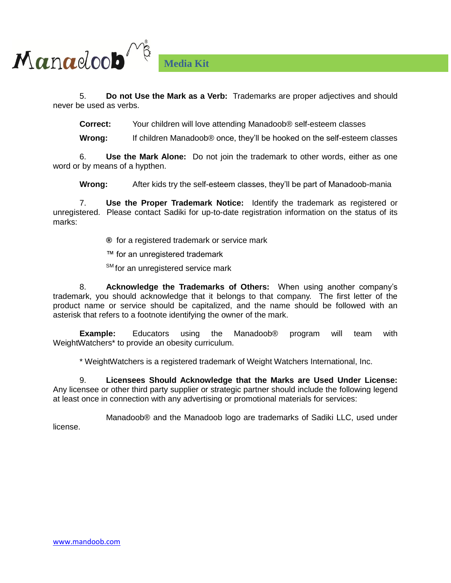

5. **Do not Use the Mark as a Verb:** Trademarks are proper adjectives and should never be used as verbs.

**Correct:** Your children will love attending Manadoob® self-esteem classes

**Wrong:** If children Manadoob® once, they'll be hooked on the self-esteem classes

6. **Use the Mark Alone:** Do not join the trademark to other words, either as one word or by means of a hypthen.

**Wrong:** After kids try the self-esteem classes, they'll be part of Manadoob-mania

7. **Use the Proper Trademark Notice:** Identify the trademark as registered or unregistered. Please contact Sadiki for up-to-date registration information on the status of its marks:

**®** for a registered trademark or service mark

™ for an unregistered trademark

SM for an unregistered service mark

8. **Acknowledge the Trademarks of Others:** When using another company's trademark, you should acknowledge that it belongs to that company. The first letter of the product name or service should be capitalized, and the name should be followed with an asterisk that refers to a footnote identifying the owner of the mark.

**Example:** Educators using the Manadoob® program will team with WeightWatchers\* to provide an obesity curriculum.

\* WeightWatchers is a registered trademark of Weight Watchers International, Inc.

9. **Licensees Should Acknowledge that the Marks are Used Under License:**  Any licensee or other third party supplier or strategic partner should include the following legend at least once in connection with any advertising or promotional materials for services:

Manadoob® and the Manadoob logo are trademarks of Sadiki LLC, used under license.